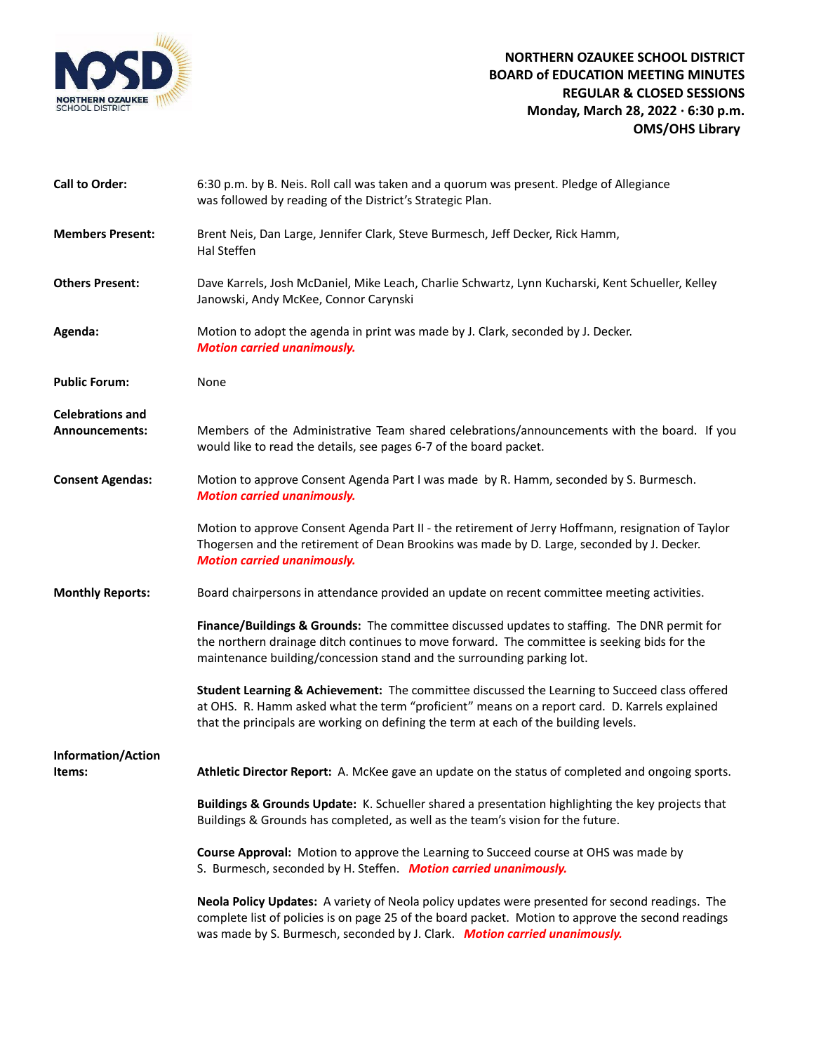

| <b>Call to Order:</b>                            | 6:30 p.m. by B. Neis. Roll call was taken and a quorum was present. Pledge of Allegiance<br>was followed by reading of the District's Strategic Plan.                                                                                                                                  |
|--------------------------------------------------|----------------------------------------------------------------------------------------------------------------------------------------------------------------------------------------------------------------------------------------------------------------------------------------|
| <b>Members Present:</b>                          | Brent Neis, Dan Large, Jennifer Clark, Steve Burmesch, Jeff Decker, Rick Hamm,<br>Hal Steffen                                                                                                                                                                                          |
| <b>Others Present:</b>                           | Dave Karrels, Josh McDaniel, Mike Leach, Charlie Schwartz, Lynn Kucharski, Kent Schueller, Kelley<br>Janowski, Andy McKee, Connor Carynski                                                                                                                                             |
| Agenda:                                          | Motion to adopt the agenda in print was made by J. Clark, seconded by J. Decker.<br><b>Motion carried unanimously.</b>                                                                                                                                                                 |
| <b>Public Forum:</b>                             | None                                                                                                                                                                                                                                                                                   |
| <b>Celebrations and</b><br><b>Announcements:</b> | Members of the Administrative Team shared celebrations/announcements with the board. If you<br>would like to read the details, see pages 6-7 of the board packet.                                                                                                                      |
| <b>Consent Agendas:</b>                          | Motion to approve Consent Agenda Part I was made by R. Hamm, seconded by S. Burmesch.<br><b>Motion carried unanimously.</b>                                                                                                                                                            |
|                                                  | Motion to approve Consent Agenda Part II - the retirement of Jerry Hoffmann, resignation of Taylor<br>Thogersen and the retirement of Dean Brookins was made by D. Large, seconded by J. Decker.<br><b>Motion carried unanimously.</b>                                                 |
| <b>Monthly Reports:</b>                          | Board chairpersons in attendance provided an update on recent committee meeting activities.                                                                                                                                                                                            |
|                                                  | Finance/Buildings & Grounds: The committee discussed updates to staffing. The DNR permit for<br>the northern drainage ditch continues to move forward. The committee is seeking bids for the<br>maintenance building/concession stand and the surrounding parking lot.                 |
|                                                  | Student Learning & Achievement: The committee discussed the Learning to Succeed class offered<br>at OHS. R. Hamm asked what the term "proficient" means on a report card. D. Karrels explained<br>that the principals are working on defining the term at each of the building levels. |
| <b>Information/Action</b>                        |                                                                                                                                                                                                                                                                                        |
| Items:                                           | Athletic Director Report: A. McKee gave an update on the status of completed and ongoing sports.                                                                                                                                                                                       |
|                                                  | Buildings & Grounds Update: K. Schueller shared a presentation highlighting the key projects that<br>Buildings & Grounds has completed, as well as the team's vision for the future.                                                                                                   |
|                                                  | <b>Course Approval:</b> Motion to approve the Learning to Succeed course at OHS was made by<br>S. Burmesch, seconded by H. Steffen. Motion carried unanimously.                                                                                                                        |
|                                                  | Neola Policy Updates: A variety of Neola policy updates were presented for second readings. The<br>complete list of policies is on page 25 of the board packet. Motion to approve the second readings<br>was made by S. Burmesch, seconded by J. Clark. Motion carried unanimously.    |